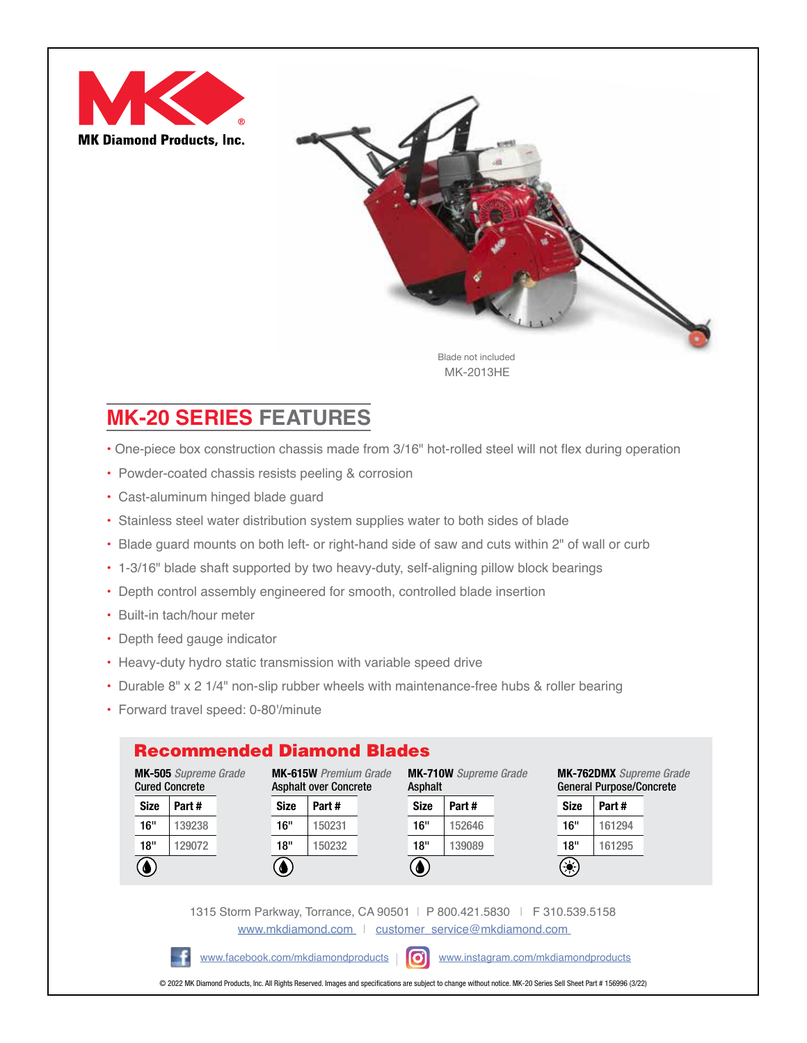



MK-2013HE

## **MK-20 SERIES FEATURES**

- One-piece box construction chassis made from 3/16" hot-rolled steel will not flex during operation
- Powder-coated chassis resists peeling & corrosion
- Cast-aluminum hinged blade guard
- Stainless steel water distribution system supplies water to both sides of blade
- Blade guard mounts on both left- or right-hand side of saw and cuts within 2" of wall or curb
- 1-3/16" blade shaft supported by two heavy-duty, self-aligning pillow block bearings
- Depth control assembly engineered for smooth, controlled blade insertion
- Built-in tach/hour meter
- Depth feed gauge indicator
- Heavy-duty hydro static transmission with variable speed drive
- Durable 8" x 2 1/4" non-slip rubber wheels with maintenance-free hubs & roller bearing
- Forward travel speed: 0-80'/minute

## Recommended Diamond Blades



1315 Storm Parkway, Torrance, CA 90501 | P 800.421.5830 | F 310.539.5158 [www.mkdiamond.com](https://www.mkdiamond.com/) | customer\_service@mkdiamond.com

[www.facebook.com/mkdiamondproducts](http://www.facebook.com/mkdiamondproducts) | o [www.instagram.com/mkdiamondproducts](http://www.instagram.com/mkdiamondproducts)

© 2022 MK Diamond Products, Inc. All Rights Reserved. Images and specifications are subject to change without notice. MK-20 Series Sell Sheet Part # 156996 (3/22)